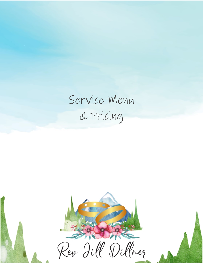## Service Menu & Pricing

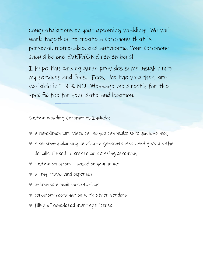Congratulations on your upcoming wedding! We will work together to create a ceremony that is personal, memorable, and authentic. Your ceremony should be one EVERYONE remembers!

I hope this pricing guide provides some insight into my services and fees. Fees, like the weather, are variable in TN & NC! Message me directly for the specific fee for your date and location.

Custom Wedding Ceremonies Include:

- ♥ a complimentary video call so you can make sure you love me:)
- ♥ a ceremony planning session to generate ideas and give me the details I need to create an amazing ceremony
- ♥ custom ceremony based on your input
- ♥ all my travel and expenses
- ♥ unlimited e-mail consultations
- ♥ ceremony coordination with other vendors
- ♥ filing of completed marriage license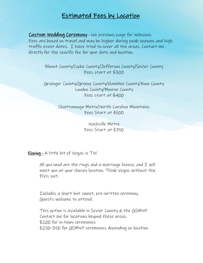## Estimated Fees by Location

Custom Wedding Ceremony– see previous page for inclusions Fees are based on travel and may be higher during peak seasons and high traffic event dates. I have tried to cover all the areas. Contact me directly for the specific fee for your date and location.

> Blount County/Cocke County/Jefferson County/Sevier County Fees start at \$300

> Grainger County/Greene County/Hamblen County/Knox County Loudon County/Monroe County Fees start at \$400

> > Chattanooga Metro/North Carolina Mountains Fees Start at \$500

> > > Nashville Metro Fees Start at \$750

Eloping - A little bit of Vegas in TN!

All you need are the rings and a marriage license, and  $I$  will meet you at your chosen location. Think Vegas without the Elvis suit.

Includes a short but sweet, pre-written ceremony. Guests welcome to attend.

This option is available in Sevier County & the GSMNP Contact me for locations beyond these areas. \$200 for in-town ceremonies \$250-350 for GSMNP ceremonies depending on location